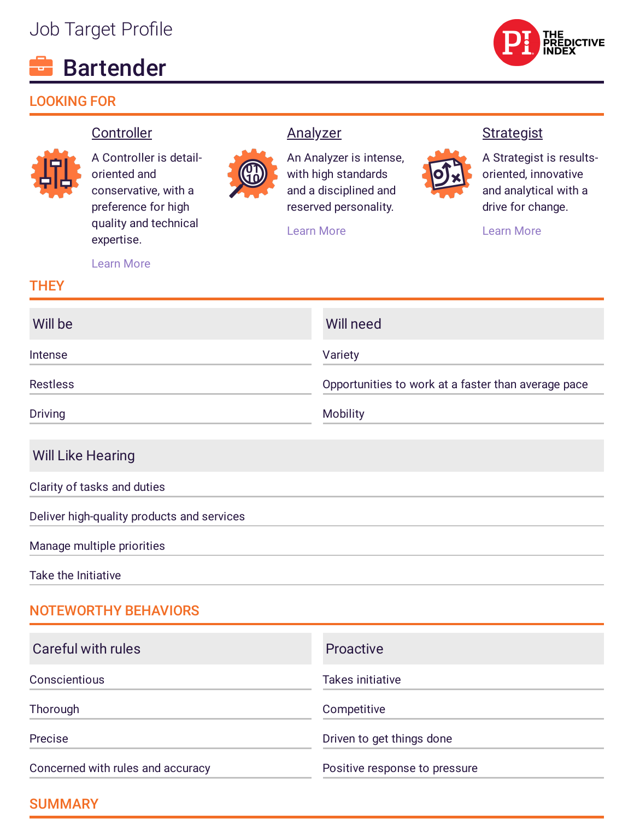# Job Target Profile

# Bartender

# LOOKING FOR



#### **Controller**



A Controller is detailoriented and conservative, with a preference for high quality and technical expertise.



An Analyzer is intense, with high standards and a disciplined and reserved personality.

[Learn](https://www.predictiveindex.com/reference-profile/Analyzer) More

**Analyzer** 

#### **Strategist**



[Learn](https://www.predictiveindex.com/reference-profile/Strategist) More

[Learn](https://www.predictiveindex.com/reference-profile/Controller) More

#### **THEY**

| Will be         | Will need                                           |
|-----------------|-----------------------------------------------------|
| Intense         | Variety                                             |
| <b>Restless</b> | Opportunities to work at a faster than average pace |
| <b>Driving</b>  | <b>Mobility</b>                                     |

#### Will Like Hearing

Clarity of tasks and duties

Deliver high-quality products and services

Manage multiple priorities

Take the Initiative

# NOTEWORTHY BEHAVIORS

| Careful with rules                | <b>Proactive</b>              |
|-----------------------------------|-------------------------------|
| Conscientious                     | <b>Takes initiative</b>       |
| Thorough                          | Competitive                   |
| Precise                           | Driven to get things done     |
| Concerned with rules and accuracy | Positive response to pressure |

# SUMMARY